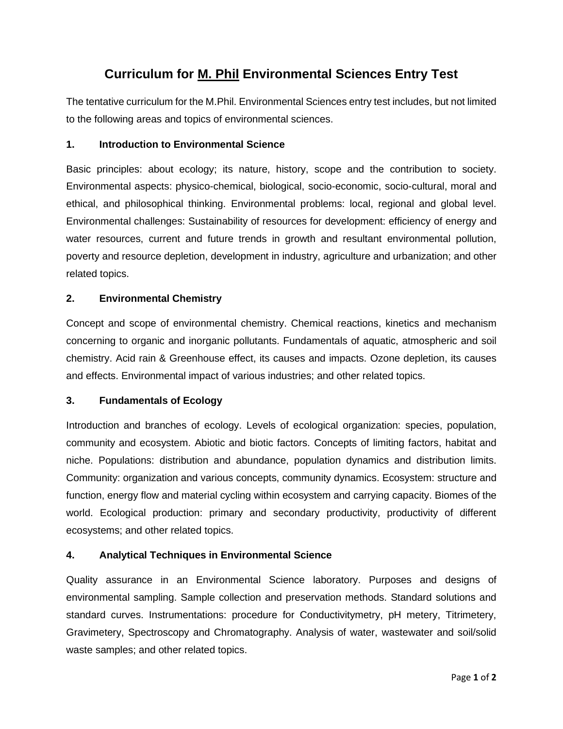# **Curriculum for M. Phil Environmental Sciences Entry Test**

The tentative curriculum for the M.Phil. Environmental Sciences entry test includes, but not limited to the following areas and topics of environmental sciences.

#### **1. Introduction to Environmental Science**

Basic principles: about ecology; its nature, history, scope and the contribution to society. Environmental aspects: physico-chemical, biological, socio-economic, socio-cultural, moral and ethical, and philosophical thinking. Environmental problems: local, regional and global level. Environmental challenges: Sustainability of resources for development: efficiency of energy and water resources, current and future trends in growth and resultant environmental pollution, poverty and resource depletion, development in industry, agriculture and urbanization; and other related topics.

#### **2. Environmental Chemistry**

Concept and scope of environmental chemistry. Chemical reactions, kinetics and mechanism concerning to organic and inorganic pollutants. Fundamentals of aquatic, atmospheric and soil chemistry. Acid rain & Greenhouse effect, its causes and impacts. Ozone depletion, its causes and effects. Environmental impact of various industries; and other related topics.

#### **3. Fundamentals of Ecology**

Introduction and branches of ecology. Levels of ecological organization: species, population, community and ecosystem. Abiotic and biotic factors. Concepts of limiting factors, habitat and niche. Populations: distribution and abundance, population dynamics and distribution limits. Community: organization and various concepts, community dynamics. Ecosystem: structure and function, energy flow and material cycling within ecosystem and carrying capacity. Biomes of the world. Ecological production: primary and secondary productivity, productivity of different ecosystems; and other related topics.

# **4. Analytical Techniques in Environmental Science**

Quality assurance in an Environmental Science laboratory. Purposes and designs of environmental sampling. Sample collection and preservation methods. Standard solutions and standard curves. Instrumentations: procedure for Conductivitymetry, pH metery, Titrimetery, Gravimetery, Spectroscopy and Chromatography. Analysis of water, wastewater and soil/solid waste samples; and other related topics.